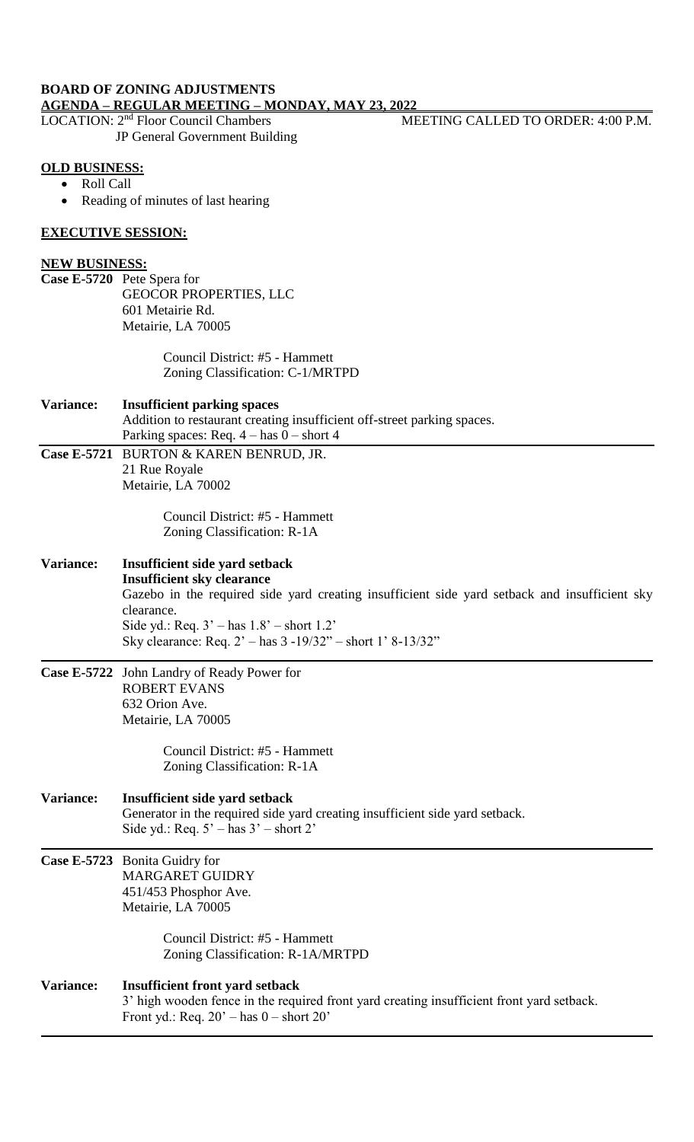# **BOARD OF ZONING ADJUSTMENTS AGENDA – REGULAR MEETING – MONDAY, MAY 23, 2022**

JP General Government Building

MEETING CALLED TO ORDER: 4:00 P.M.

#### **OLD BUSINESS:**

- Roll Call
- Reading of minutes of last hearing

#### **EXECUTIVE SESSION:**

#### **NEW BUSINESS:**

**Case E-5720** Pete Spera for GEOCOR PROPERTIES, LLC 601 Metairie Rd. Metairie, LA 70005

> Council District: #5 - Hammett Zoning Classification: C-1/MRTPD

#### **Variance: Insufficient parking spaces** Addition to restaurant creating insufficient off-street parking spaces. Parking spaces: Req.  $4 - has 0 - short 4$ **Case E-5721** BURTON & KAREN BENRUD, JR.

21 Rue Royale Metairie, LA 70002

> Council District: #5 - Hammett Zoning Classification: R-1A

# **Variance: Insufficient side yard setback**

**Insufficient sky clearance** Gazebo in the required side yard creating insufficient side yard setback and insufficient sky clearance. Side yd.: Req.  $3'$  – has  $1.8'$  – short  $1.2'$ Sky clearance: Req. 2' – has 3 -19/32" – short 1' 8-13/32"

**Case E-5722** John Landry of Ready Power for ROBERT EVANS 632 Orion Ave. Metairie, LA 70005

> Council District: #5 - Hammett Zoning Classification: R-1A

# **Variance: Insufficient side yard setback** Generator in the required side yard creating insufficient side yard setback. Side yd.: Req. 5' – has 3' – short 2'

**Case E-5723** Bonita Guidry for MARGARET GUIDRY 451/453 Phosphor Ave. Metairie, LA 70005

> Council District: #5 - Hammett Zoning Classification: R-1A/MRTPD

## **Variance: Insufficient front yard setback**  3' high wooden fence in the required front yard creating insufficient front yard setback. Front yd.: Req.  $20'$  – has  $0$  – short  $20'$